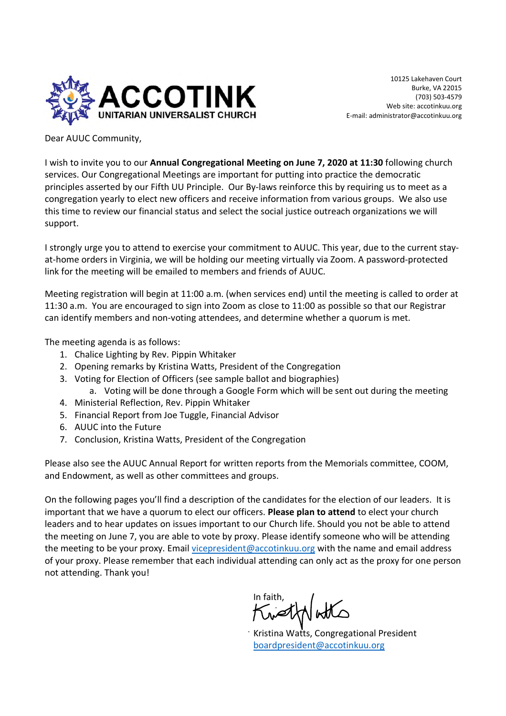

10125 Lakehaven Court Burke, VA 22015 (703) 503-4579 Web site: accotinkuu.org E-mail: administrator@accotinkuu.org

Dear AUUC Community,

I wish to invite you to our **Annual Congregational Meeting on June 7, 2020 at 11:30** following church services. Our Congregational Meetings are important for putting into practice the democratic principles asserted by our Fifth UU Principle. Our By-laws reinforce this by requiring us to meet as a congregation yearly to elect new officers and receive information from various groups. We also use this time to review our financial status and select the social justice outreach organizations we will support.

I strongly urge you to attend to exercise your commitment to AUUC. This year, due to the current stayat-home orders in Virginia, we will be holding our meeting virtually via Zoom. A password-protected link for the meeting will be emailed to members and friends of AUUC.

Meeting registration will begin at 11:00 a.m. (when services end) until the meeting is called to order at 11:30 a.m. You are encouraged to sign into Zoom as close to 11:00 as possible so that our Registrar can identify members and non-voting attendees, and determine whether a quorum is met.

The meeting agenda is as follows:

- 1. Chalice Lighting by Rev. Pippin Whitaker
- 2. Opening remarks by Kristina Watts, President of the Congregation
- 3. Voting for Election of Officers (see sample ballot and biographies)
	- a. Voting will be done through a Google Form which will be sent out during the meeting
- 4. Ministerial Reflection, Rev. Pippin Whitaker
- 5. Financial Report from Joe Tuggle, Financial Advisor
- 6. AUUC into the Future
- 7. Conclusion, Kristina Watts, President of the Congregation

Please also see the AUUC Annual Report for written reports from the Memorials committee, COOM, and Endowment, as well as other committees and groups.

On the following pages you'll find a description of the candidates for the election of our leaders. It is important that we have a quorum to elect our officers. **Please plan to attend** to elect your church leaders and to hear updates on issues important to our Church life. Should you not be able to attend the meeting on June 7, you are able to vote by proxy. Please identify someone who will be attending the meeting to be your proxy. Email vicepresident@accotinkuu.org with the name and email address of your proxy. Please remember that each individual attending can only act as the proxy for one person not attending. Thank you!

In faith,

Kristina Watts, Congregational President boardpresident@accotinkuu.org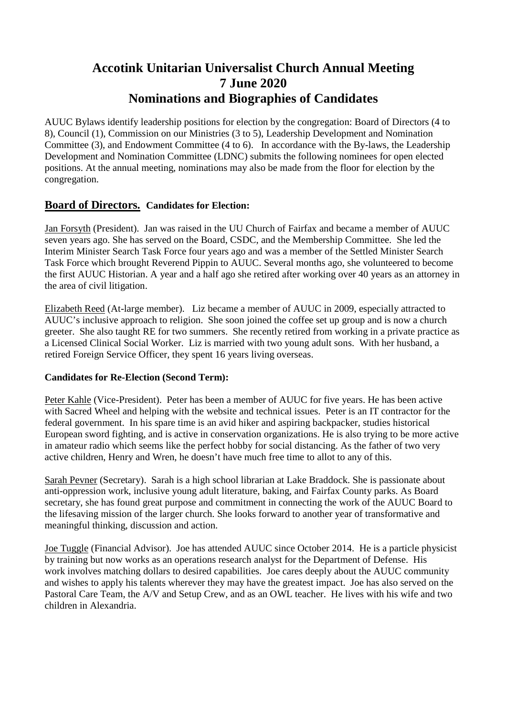# **Accotink Unitarian Universalist Church Annual Meeting 7 June 2020 Nominations and Biographies of Candidates**

AUUC Bylaws identify leadership positions for election by the congregation: Board of Directors (4 to 8), Council (1), Commission on our Ministries (3 to 5), Leadership Development and Nomination Committee (3), and Endowment Committee (4 to 6). In accordance with the By-laws, the Leadership Development and Nomination Committee (LDNC) submits the following nominees for open elected positions. At the annual meeting, nominations may also be made from the floor for election by the congregation.

### **Board of Directors. Candidates for Election:**

Jan Forsyth (President). Jan was raised in the UU Church of Fairfax and became a member of AUUC seven years ago. She has served on the Board, CSDC, and the Membership Committee. She led the Interim Minister Search Task Force four years ago and was a member of the Settled Minister Search Task Force which brought Reverend Pippin to AUUC. Several months ago, she volunteered to become the first AUUC Historian. A year and a half ago she retired after working over 40 years as an attorney in the area of civil litigation.

Elizabeth Reed (At-large member). Liz became a member of AUUC in 2009, especially attracted to AUUC's inclusive approach to religion. She soon joined the coffee set up group and is now a church greeter. She also taught RE for two summers. She recently retired from working in a private practice as a Licensed Clinical Social Worker. Liz is married with two young adult sons. With her husband, a retired Foreign Service Officer, they spent 16 years living overseas.

#### **Candidates for Re-Election (Second Term):**

Peter Kahle (Vice-President). Peter has been a member of AUUC for five years. He has been active with Sacred Wheel and helping with the website and technical issues. Peter is an IT contractor for the federal government. In his spare time is an avid hiker and aspiring backpacker, studies historical European sword fighting, and is active in conservation organizations. He is also trying to be more active in amateur radio which seems like the perfect hobby for social distancing. As the father of two very active children, Henry and Wren, he doesn't have much free time to allot to any of this.

Sarah Pevner (Secretary). Sarah is a high school librarian at Lake Braddock. She is passionate about anti-oppression work, inclusive young adult literature, baking, and Fairfax County parks. As Board secretary, she has found great purpose and commitment in connecting the work of the AUUC Board to the lifesaving mission of the larger church. She looks forward to another year of transformative and meaningful thinking, discussion and action.

Joe Tuggle (Financial Advisor). Joe has attended AUUC since October 2014. He is a particle physicist by training but now works as an operations research analyst for the Department of Defense. His work involves matching dollars to desired capabilities. Joe cares deeply about the AUUC community and wishes to apply his talents wherever they may have the greatest impact. Joe has also served on the Pastoral Care Team, the A/V and Setup Crew, and as an OWL teacher. He lives with his wife and two children in Alexandria.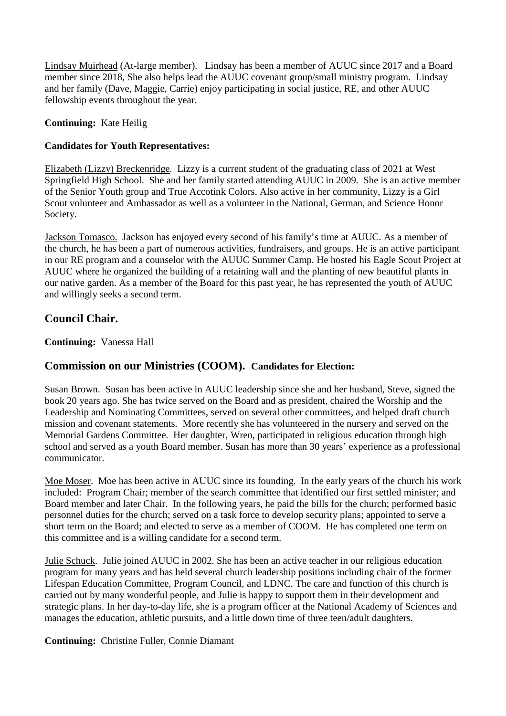Lindsay Muirhead (At-large member). Lindsay has been a member of AUUC since 2017 and a Board member since 2018, She also helps lead the AUUC covenant group/small ministry program. Lindsay and her family (Dave, Maggie, Carrie) enjoy participating in social justice, RE, and other AUUC fellowship events throughout the year.

**Continuing:** Kate Heilig

#### **Candidates for Youth Representatives:**

Elizabeth (Lizzy) Breckenridge. Lizzy is a current student of the graduating class of 2021 at West Springfield High School. She and her family started attending AUUC in 2009. She is an active member of the Senior Youth group and True Accotink Colors. Also active in her community, Lizzy is a Girl Scout volunteer and Ambassador as well as a volunteer in the National, German, and Science Honor Society.

Jackson Tomasco. Jackson has enjoyed every second of his family's time at AUUC. As a member of the church, he has been a part of numerous activities, fundraisers, and groups. He is an active participant in our RE program and a counselor with the AUUC Summer Camp. He hosted his Eagle Scout Project at AUUC where he organized the building of a retaining wall and the planting of new beautiful plants in our native garden. As a member of the Board for this past year, he has represented the youth of AUUC and willingly seeks a second term.

# **Council Chair.**

**Continuing:** Vanessa Hall

### **Commission on our Ministries (COOM). Candidates for Election:**

Susan Brown. Susan has been active in AUUC leadership since she and her husband, Steve, signed the book 20 years ago. She has twice served on the Board and as president, chaired the Worship and the Leadership and Nominating Committees, served on several other committees, and helped draft church mission and covenant statements. More recently she has volunteered in the nursery and served on the Memorial Gardens Committee. Her daughter, Wren, participated in religious education through high school and served as a youth Board member. Susan has more than 30 years' experience as a professional communicator.

Moe Moser. Moe has been active in AUUC since its founding. In the early years of the church his work included: Program Chair; member of the search committee that identified our first settled minister; and Board member and later Chair. In the following years, he paid the bills for the church; performed basic personnel duties for the church; served on a task force to develop security plans; appointed to serve a short term on the Board; and elected to serve as a member of COOM. He has completed one term on this committee and is a willing candidate for a second term.

Julie Schuck. Julie joined AUUC in 2002. She has been an active teacher in our religious education program for many years and has held several church leadership positions including chair of the former Lifespan Education Committee, Program Council, and LDNC. The care and function of this church is carried out by many wonderful people, and Julie is happy to support them in their development and strategic plans. In her day-to-day life, she is a program officer at the National Academy of Sciences and manages the education, athletic pursuits, and a little down time of three teen/adult daughters.

**Continuing:** Christine Fuller, Connie Diamant